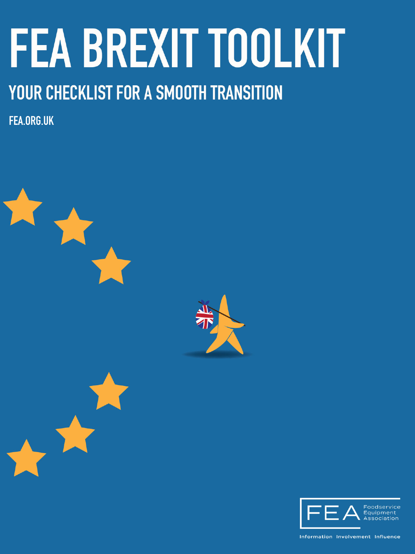# **FEA BREXIT TOOLKIT**

### YOUR CHECKLIST FOR A SMOOTH TRANSITION

**FEA.ORG.UK** 





Information Involvement Influence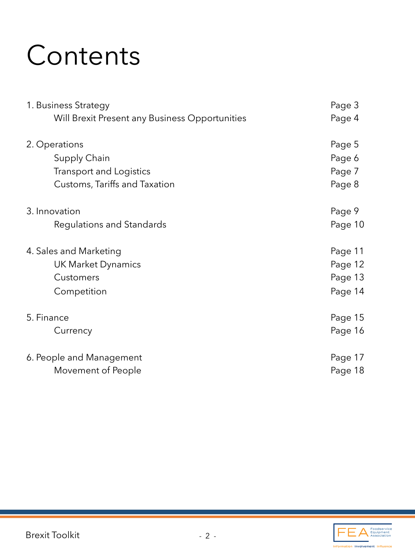### **Contents**

| 1. Business Strategy                           | Page 3  |
|------------------------------------------------|---------|
| Will Brexit Present any Business Opportunities | Page 4  |
| 2. Operations                                  | Page 5  |
| Supply Chain                                   | Page 6  |
| Transport and Logistics                        | Page 7  |
| Customs, Tariffs and Taxation                  | Page 8  |
| 3. Innovation                                  | Page 9  |
| Regulations and Standards                      | Page 10 |
| 4. Sales and Marketing                         | Page 11 |
| UK Market Dynamics                             | Page 12 |
| Customers                                      | Page 13 |
| Competition                                    | Page 14 |
| 5. Finance                                     | Page 15 |
| Currency                                       | Page 16 |
| 6. People and Management                       | Page 17 |
| Movement of People                             | Page 18 |

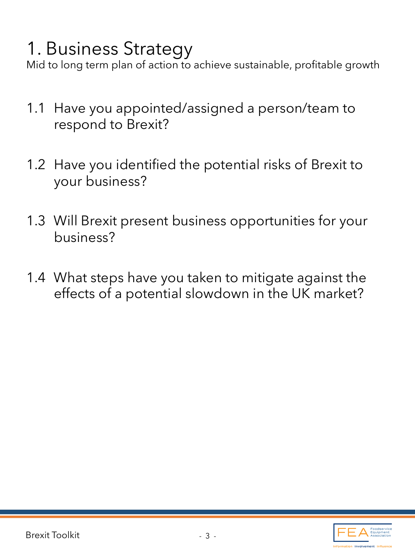### 1. Business Strategy

Mid to long term plan of action to achieve sustainable, profitable growth

- 1.1 Have you appointed/assigned a person/team to respond to Brexit?
- 1.2 Have you identified the potential risks of Brexit to your business?
- 1.3 Will Brexit present business opportunities for your business?
- 1.4 What steps have you taken to mitigate against the effects of a potential slowdown in the UK market?

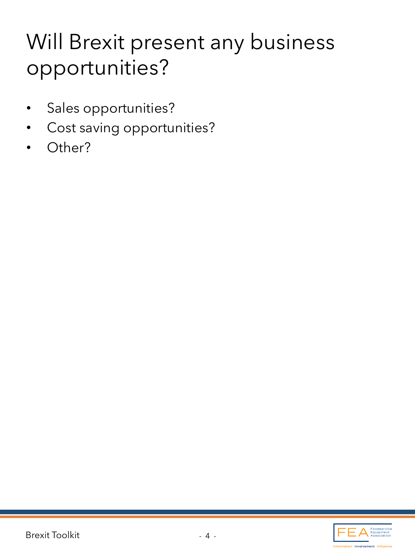### Will Brexit present any business opportunities?

- Sales opportunities?
- Cost saving opportunities?
- Other?

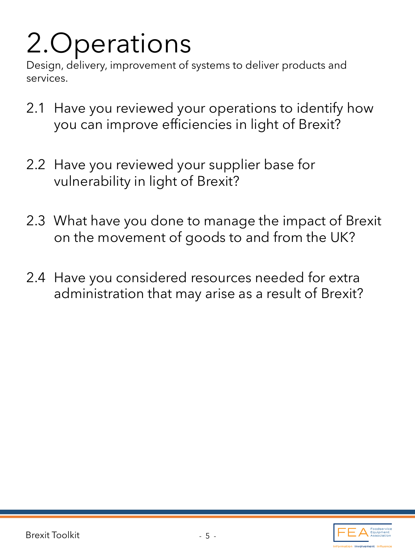# 2.Operations

Design, delivery, improvement of systems to deliver products and services.

- 2.1 Have you reviewed your operations to identify how you can improve efficiencies in light of Brexit?
- 2.2 Have you reviewed your supplier base for vulnerability in light of Brexit?
- 2.3 What have you done to manage the impact of Brexit on the movement of goods to and from the UK?
- 2.4 Have you considered resources needed for extra administration that may arise as a result of Brexit?

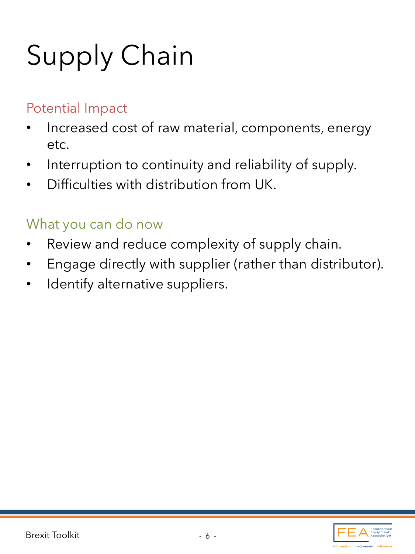# Supply Chain

#### Potential Impact

- Increased cost of raw material, components, energy etc.
- Interruption to continuity and reliability of supply.
- Difficulties with distribution from UK.

- Review and reduce complexity of supply chain.
- Engage directly with supplier (rather than distributor).
- Identify alternative suppliers.

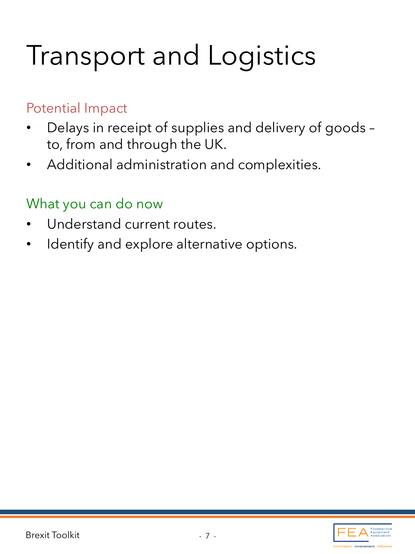### Transport and Logistics

#### Potential Impact

- Delays in receipt of supplies and delivery of goods to, from and through the UK.
- Additional administration and complexities.

- Understand current routes.
- Identify and explore alternative options.

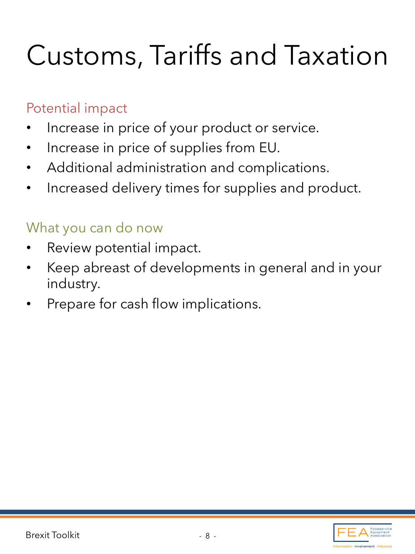### Customs, Tariffs and Taxation

#### Potential impact

- Increase in price of your product or service.
- Increase in price of supplies from EU.
- Additional administration and complications.
- Increased delivery times for supplies and product.

- Review potential impact.
- Keep abreast of developments in general and in your industry.
- Prepare for cash flow implications.

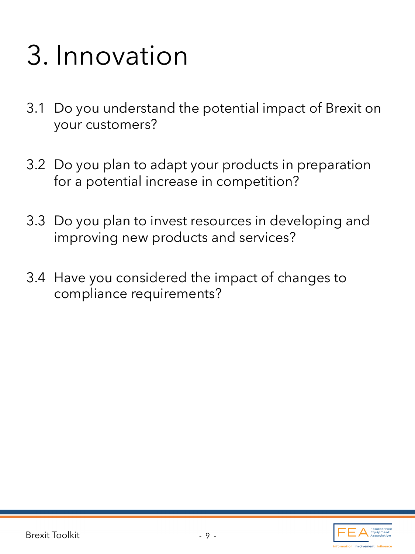### 3. Innovation

- 3.1 Do you understand the potential impact of Brexit on your customers?
- 3.2 Do you plan to adapt your products in preparation for a potential increase in competition?
- 3.3 Do you plan to invest resources in developing and improving new products and services?
- 3.4 Have you considered the impact of changes to compliance requirements?

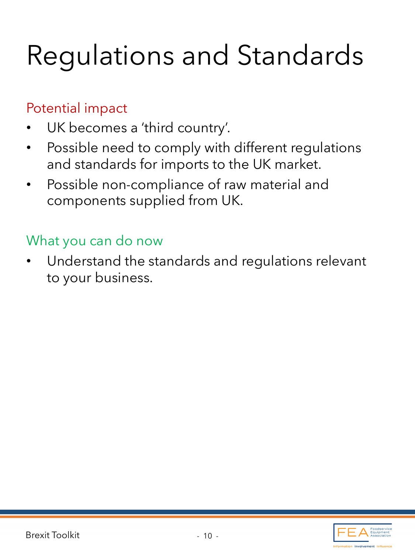### Regulations and Standards

#### Potential impact

- UK becomes a 'third country'.
- Possible need to comply with different regulations and standards for imports to the UK market.
- Possible non-compliance of raw material and components supplied from UK.

#### What you can do now

Understand the standards and regulations relevant to your business.

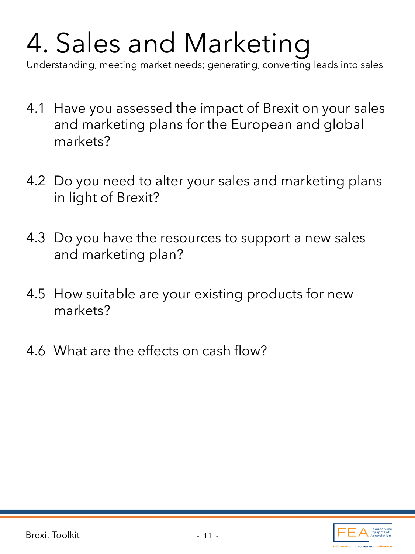# 4. Sales and Marketing

Understanding, meeting market needs; generating, converting leads into sales

- 4.1 Have you assessed the impact of Brexit on your sales and marketing plans for the European and global markets?
- 4.2 Do you need to alter your sales and marketing plans in light of Brexit?
- 4.3 Do you have the resources to support a new sales and marketing plan?
- 4.5 How suitable are your existing products for new markets?
- 4.6 What are the effects on cash flow?

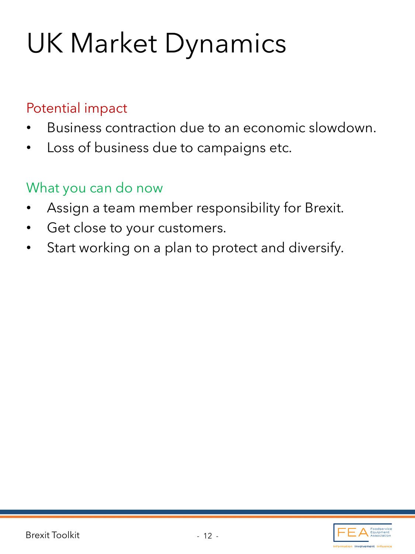### UK Market Dynamics

#### Potential impact

- Business contraction due to an economic slowdown.
- Loss of business due to campaigns etc.

- Assign a team member responsibility for Brexit.
- Get close to your customers.
- Start working on a plan to protect and diversify.

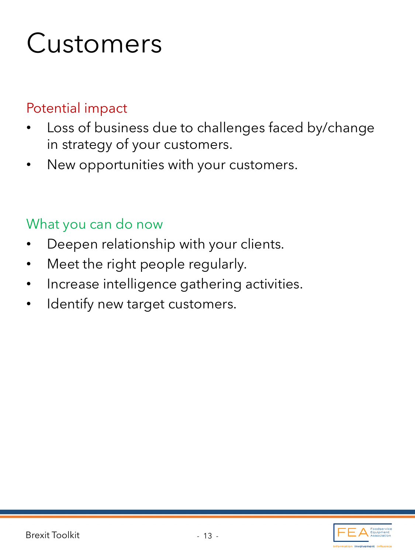### Customers

#### Potential impact

- Loss of business due to challenges faced by/change in strategy of your customers.
- New opportunities with your customers.

- Deepen relationship with your clients.
- Meet the right people regularly.
- Increase intelligence gathering activities.
- Identify new target customers.

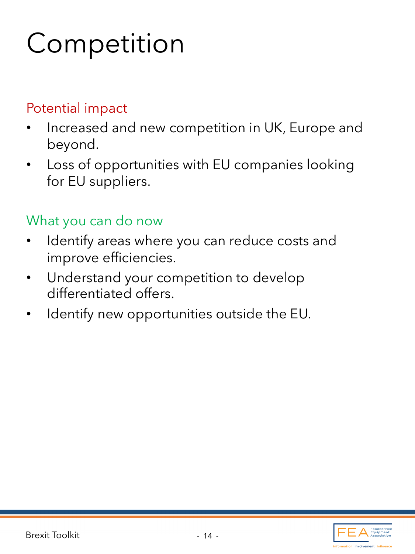### **Competition**

#### Potential impact

- Increased and new competition in UK, Europe and beyond.
- Loss of opportunities with EU companies looking for EU suppliers.

- Identify areas where you can reduce costs and improve efficiencies.
- Understand your competition to develop differentiated offers.
- Identify new opportunities outside the EU.

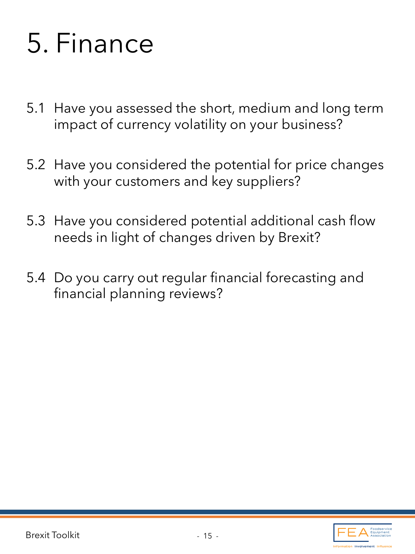### 5. Finance

- 5.1 Have you assessed the short, medium and long term impact of currency volatility on your business?
- 5.2 Have you considered the potential for price changes with your customers and key suppliers?
- 5.3 Have you considered potential additional cash flow needs in light of changes driven by Brexit?
- 5.4 Do you carry out regular financial forecasting and financial planning reviews?

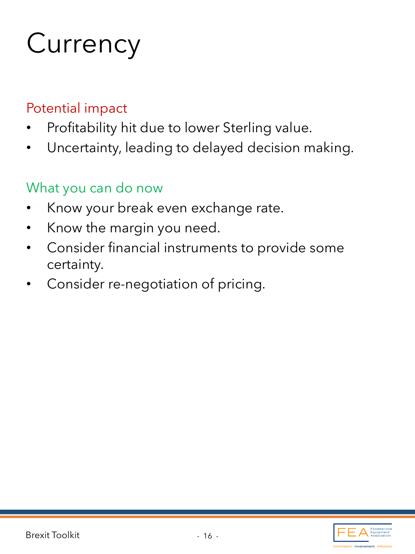## **Currency**

#### Potential impact

- Profitability hit due to lower Sterling value.
- Uncertainty, leading to delayed decision making.

- Know your break even exchange rate.
- Know the margin you need.
- Consider financial instruments to provide some certainty.
- Consider re-negotiation of pricing.

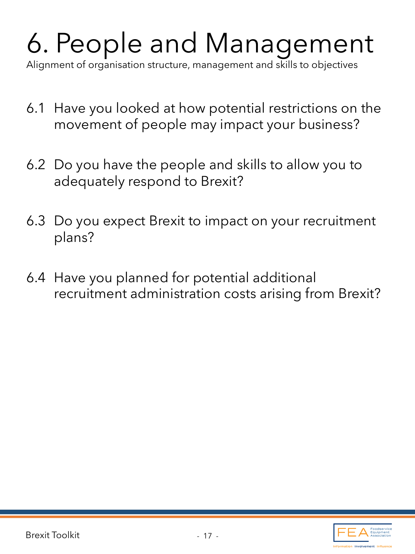# 6. People and Management

Alignment of organisation structure, management and skills to objectives

- 6.1 Have you looked at how potential restrictions on the movement of people may impact your business?
- 6.2 Do you have the people and skills to allow you to adequately respond to Brexit?
- 6.3 Do you expect Brexit to impact on your recruitment plans?
- 6.4 Have you planned for potential additional recruitment administration costs arising from Brexit?

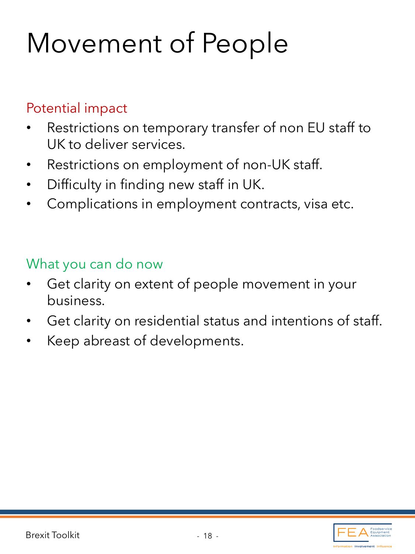### Movement of People

#### Potential impact

- Restrictions on temporary transfer of non EU staff to UK to deliver services.
- Restrictions on employment of non-UK staff.
- Difficulty in finding new staff in UK.
- Complications in employment contracts, visa etc.

- Get clarity on extent of people movement in your business.
- Get clarity on residential status and intentions of staff.
- Keep abreast of developments.